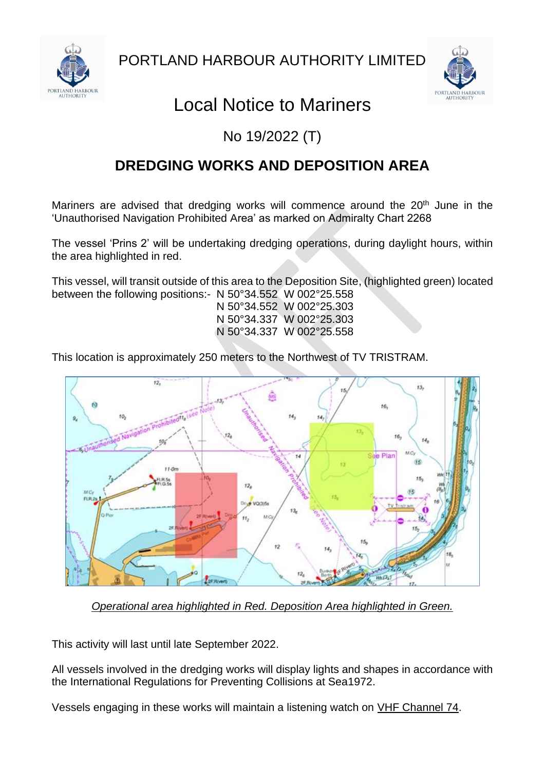



## Local Notice to Mariners

## No 19/2022 (T)

## **DREDGING WORKS AND DEPOSITION AREA**

Mariners are advised that dredging works will commence around the 20<sup>th</sup> June in the 'Unauthorised Navigation Prohibited Area' as marked on Admiralty Chart 2268

The vessel 'Prins 2' will be undertaking dredging operations, during daylight hours, within the area highlighted in red.

This vessel, will transit outside of this area to the Deposition Site, (highlighted green) located between the following positions:- N 50°34.552 W 002°25.558

N 50°34.552 W 002°25.303 N 50°34.337 W 002°25.303 N 50°34.337 W 002°25.558

This location is approximately 250 meters to the Northwest of TV TRISTRAM.



*Operational area highlighted in Red. Deposition Area highlighted in Green.*

This activity will last until late September 2022.

All vessels involved in the dredging works will display lights and shapes in accordance with the International Regulations for Preventing Collisions at Sea1972.

Vessels engaging in these works will maintain a listening watch on VHF Channel 74.